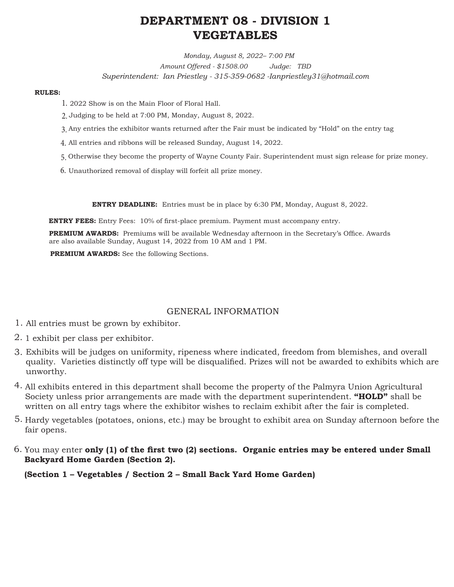# **DEPARTMENT 08 - DIVISION 1 VEGETABLES**

*Monday, August 8, 2022– 7:00 PM Amount Offered - \$1508.00 Judge: TBD Superintendent: Ian Priestley - 315-359-0682 -Ianpriestley31@hotmail.com* 

#### **RULES:**

- 2022 Show is on the Main Floor of Floral Hall. 1.
- Judging to be held at 7:00 PM, Monday, August 8, 2022. 2.
- Any entries the exhibitor wants returned after the Fair must be indicated by "Hold" on the entry tag 3.
- All entries and ribbons will be released Sunday, August 14, 2022. 4.
- Otherwise they become the property of Wayne County Fair. Superintendent must sign release for prize money. 5.
- 6. Unauthorized removal of display will forfeit all prize money.

**ENTRY DEADLINE:** Entries must be in place by 6:30 PM, Monday, August 8, 2022.

**ENTRY FEES:** Entry Fees: 10% of first-place premium. Payment must accompany entry.

**PREMIUM AWARDS:** Premiums will be available Wednesday afternoon in the Secretary's Office. Awards are also available Sunday, August 14, 2022 from 10 AM and 1 PM.

**PREMIUM AWARDS:** See the following Sections.

# GENERAL INFORMATION

- All entries must be grown by exhibitor. 1.
- 2. 1 exhibit per class per exhibitor.
- Exhibits will be judges on uniformity, ripeness where indicated, freedom from blemishes, and overall 3. quality. Varieties distinctly off type will be disqualified. Prizes will not be awarded to exhibits which are unworthy.
- All exhibits entered in this department shall become the property of the Palmyra Union Agricultural 4. Society unless prior arrangements are made with the department superintendent. **"HOLD"** shall be written on all entry tags where the exhibitor wishes to reclaim exhibit after the fair is completed.
- 5. Hardy vegetables (potatoes, onions, etc.) may be brought to exhibit area on Sunday afternoon before the fair opens.
- You may enter **only (1) of the first two (2) sections. Organic entries may be entered under Small**  6. **Backyard Home Garden (Section 2).**

 **(Section 1 – Vegetables / Section 2 – Small Back Yard Home Garden)**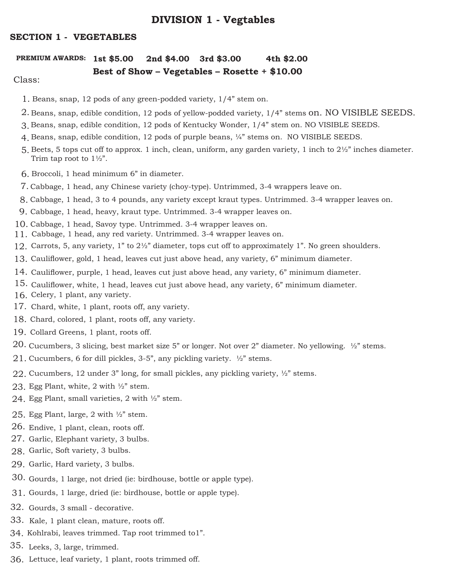# **DIVISION 1 - Vegtables**

# **SECTION 1 - VEGETABLES**

# **PREMIUM AWARDS: 1st \$5.00 2nd \$4.00 3rd \$3.00 4th \$2.00**

# **Best of Show – Vegetables – Rosette + \$10.00**

# Class:

- 1. Beans, snap, 12 pods of any green-podded variety, 1/4" stem on.
- $2.$  Beans, snap, edible condition, 12 pods of yellow-podded variety, 1/4" stems  $\mathop{\text{on}}$  . NO VISIBLE SEEDS.
- Beans, snap, edible condition, 12 pods of Kentucky Wonder, 1/4" stem on. NO VISIBLE SEEDS. 3.
- Beans, snap, edible condition, 12 pods of purple beans, ¼" stems on. NO VISIBLE SEEDS. 4.
- 5. Beets, 5 tops cut off to approx. 1 inch, clean, uniform, any garden variety, 1 inch to  $2\frac{1}{2}$  inches diameter. Trim tap root to  $1\frac{1}{2}$ .
- Broccoli, 1 head minimum 6" in diameter. 6.
- 7. Cabbage, 1 head, any Chinese variety (choy-type). Untrimmed, 3-4 wrappers leave on.
- Cabbage, 1 head, 3 to 4 pounds, any variety except kraut types. Untrimmed. 3-4 wrapper leaves on. 8.
- 9. Cabbage, 1 head, heavy, kraut type. Untrimmed. 3-4 wrapper leaves on.
- 10. Cabbage, 1 head, Savoy type. Untrimmed. 3-4 wrapper leaves on.
- Cabbage, 1 head, any red variety. Untrimmed. 3-4 wrapper leaves on. 11.
- Carrots, 5, any variety, 1" to 2½" diameter, tops cut off to approximately 1". No green shoulders. 12.
- Cauliflower, gold, 1 head, leaves cut just above head, any variety, 6" minimum diameter. 13.
- Cauliflower, purple, 1 head, leaves cut just above head, any variety, 6" minimum diameter. 14.
- 15. Cauliflower, white, 1 head, leaves cut just above head, any variety, 6" minimum diameter.
- 16. Celery, 1 plant, any variety.
- 17. Chard, white, 1 plant, roots off, any variety.
- 18. Chard, colored, 1 plant, roots off, any variety.
- 19. Collard Greens, 1 plant, roots off.
- $20.$  Cucumbers, 3 slicing, best market size 5" or longer. Not over 2" diameter. No yellowing.  $\frac{1}{2}$ " stems.
- 21. Cucumbers, 6 for dill pickles, 3-5", any pickling variety.  $\frac{1}{2}$ " stems.
- $22$ . Cucumbers, 12 under 3" long, for small pickles, any pickling variety,  $\frac{1}{2}$ " stems.
- 23. Egg Plant, white, 2 with  $\frac{1}{2}$  stem.
- 24. Egg Plant, small varieties, 2 with  $\frac{1}{2}$  stem.
- 25. Egg Plant, large, 2 with  $\frac{1}{2}$ " stem.
- 26. Endive, 1 plant, clean, roots off.
- 27. Garlic, Elephant variety, 3 bulbs.
- 28. Garlic, Soft variety, 3 bulbs.
- 29. Garlic, Hard variety, 3 bulbs.
- 30. Gourds, 1 large, not dried (ie: birdhouse, bottle or apple type).
- Gourds, 1 large, dried (ie: birdhouse, bottle or apple type). 31.
- 32. Gourds, 3 small decorative.
- 33. Kale, 1 plant clean, mature, roots off.
- 34. Kohlrabi, leaves trimmed. Tap root trimmed to1".
- Leeks, 3, large, trimmed. 35.
- 36. Lettuce, leaf variety, 1 plant, roots trimmed off.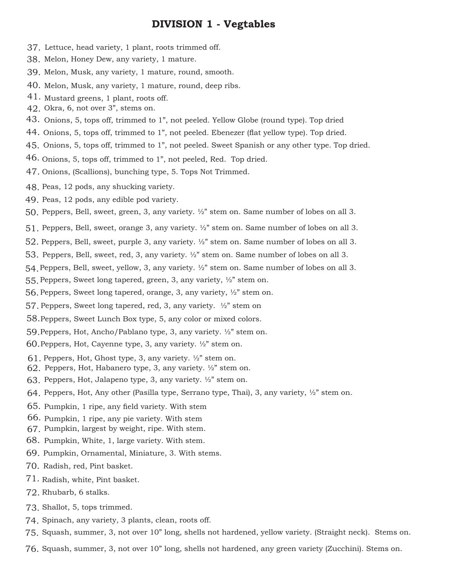# **DIVISION 1 - Vegtables**

- 37. Lettuce, head variety, 1 plant, roots trimmed off.
- 38. Melon, Honey Dew, any variety, 1 mature.
- 39. Melon, Musk, any variety, 1 mature, round, smooth.
- 40. Melon, Musk, any variety, 1 mature, round, deep ribs.
- $41.$  Mustard greens, 1 plant, roots off.
- Okra, 6, not over 3", stems on. 42.
- 43. Onions, 5, tops off, trimmed to 1", not peeled. Yellow Globe (round type). Top dried
- 44. Onions, 5, tops off, trimmed to 1", not peeled. Ebenezer (flat yellow type). Top dried.
- 45. Onions, 5, tops off, trimmed to 1", not peeled. Sweet Spanish or any other type. Top dried.
- 46. Onions, 5, tops off, trimmed to 1", not peeled, Red. Top dried.
- 47. Onions, (Scallions), bunching type, 5. Tops Not Trimmed.
- 48. Peas, 12 pods, any shucking variety.
- 49. Peas, 12 pods, any edible pod variety.
- Peppers, Bell, sweet, green, 3, any variety. ½" stem on. Same number of lobes on all 3. 50.
- Peppers, Bell, sweet, orange 3, any variety. ½" stem on. Same number of lobes on all 3. 51.
- $52$ . Peppers, Bell, sweet, purple 3, any variety.  $\frac{1}{2}$ " stem on. Same number of lobes on all 3.
- 53. Peppers, Bell, sweet, red, 3, any variety.  $\frac{1}{2}$ " stem on. Same number of lobes on all 3.
- Peppers, Bell, sweet, yellow, 3, any variety. ½" stem on. Same number of lobes on all 3. 54.
- 55. Peppers, Sweet long tapered, green, 3, any variety, ½" stem on.
- 56. Peppers, Sweet long tapered, orange, 3, any variety,  $\frac{1}{2}$  stem on.
- 57. Peppers, Sweet long tapered, red, 3, any variety. ½" stem on
- 58. Peppers, Sweet Lunch Box type, 5, any color or mixed colors.
- 59. Peppers, Hot, Ancho/Pablano type, 3, any variety. 1/2" stem on.
- $60$ . Peppers, Hot, Cayenne type, 3, any variety.  $\frac{1}{2}$ " stem on.
- $61.$  Peppers, Hot, Ghost type, 3, any variety.  $\frac{1}{2}$  stem on.
- 62. Peppers, Hot, Habanero type, 3, any variety.  $\frac{1}{2}$ " stem on.
- 63. Peppers, Hot, Jalapeno type, 3, any variety.  $\frac{1}{2}$  stem on.
- $64.$  Peppers, Hot, Any other (Pasilla type, Serrano type, Thai), 3, any variety,  $\frac{1}{2}$  stem on.
- 65. Pumpkin, 1 ripe, any field variety. With stem
- 66. Pumpkin, 1 ripe, any pie variety. With stem
- 67. Pumpkin, largest by weight, ripe. With stem.
- 68. Pumpkin, White, 1, large variety. With stem.
- 69. Pumpkin, Ornamental, Miniature, 3. With stems.
- 70. Radish, red, Pint basket.
- 71. Radish, white, Pint basket.
- 72. Rhubarb, 6 stalks.
- 73. Shallot, 5, tops trimmed.
- 74. Spinach, any variety, 3 plants, clean, roots off.
- Squash, summer, 3, not over 10" long, shells not hardened, yellow variety. (Straight neck). Stems on. 75.
- Squash, summer, 3, not over 10" long, shells not hardened, any green variety (Zucchini). Stems on. 76.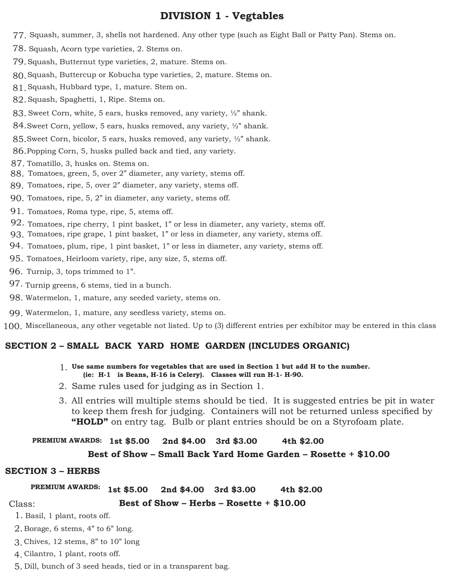# **DIVISION 1 - Vegtables**

- Squash, summer, 3, shells not hardened. Any other type (such as Eight Ball or Patty Pan). Stems on. 77.
- 78. Squash, Acorn type varieties, 2. Stems on.
- 79. Squash, Butternut type varieties, 2, mature. Stems on.
- Squash, Buttercup or Kobucha type varieties, 2, mature. Stems on. 80.
- Squash, Hubbard type, 1, mature. Stem on. 81.
- Squash, Spaghetti, 1, Ripe. Stems on. 82.
- $83.$  Sweet Corn, white, 5 ears, husks removed, any variety,  $\frac{1}{2}$  shank.
- 84. Sweet Corn, yellow, 5 ears, husks removed, any variety, 1/2" shank.
- 85. Sweet Corn, bicolor, 5 ears, husks removed, any variety, ½" shank.
- 86. Popping Corn, 5, husks pulled back and tied, any variety.
- 87. Tomatillo, 3, husks on. Stems on.
- 88. Tomatoes, green, 5, over 2" diameter, any variety, stems off.
- Tomatoes, ripe, 5, over 2" diameter, any variety, stems off. 89.
- 90. Tomatoes, ripe, 5, 2" in diameter, any variety, stems off.
- 91. Tomatoes, Roma type, ripe, 5, stems off.
- 92. Tomatoes, ripe cherry, 1 pint basket, 1" or less in diameter, any variety, stems off.
- 93. Tomatoes, ripe grape, 1 pint basket, 1" or less in diameter, any variety, stems off.
- 94. Tomatoes, plum, ripe, 1 pint basket, 1" or less in diameter, any variety, stems off.
- 95. Tomatoes, Heirloom variety, ripe, any size, 5, stems off.
- 96. Turnip, 3, tops trimmed to 1".
- 97. Turnip greens, 6 stems, tied in a bunch.
- Watermelon, 1, mature, any seeded variety, stems on. 98.
- Watermelon, 1, mature, any seedless variety, stems on. 99.

100. Miscellaneous, any other vegetable not listed. Up to (3) different entries per exhibitor may be entered in this class

# **SECTION 2 – SMALL BACK YARD HOME GARDEN (INCLUDES ORGANIC)**

- **Use same numbers for vegetables that are used in Section 1 but add H to the number.**  1.  **(ie: H-1 is Beans, H-16 is Celery). Classes will run H-1- H-90.**
- 2. Same rules used for judging as in Section 1.
- All entries will multiple stems should be tied. It is suggested entries be pit in water 3. to keep them fresh for judging. Containers will not be returned unless specified by **"HOLD"** on entry tag. Bulb or plant entries should be on a Styrofoam plate.

#### PREMIUM AWARDS: 1st \$5.00 **1st \$5.00 2nd \$4.00 3rd \$3.00 4th \$2.00**

# **Best of Show – Small Back Yard Home Garden – Rosette + \$10.00**

# **SECTION 3 – HERBS**

Class:

#### PREMIUM AWARDS: 1st \$5.00 **1st \$5.00 2nd \$4.00 3rd \$3.00 4th \$2.00**

# **Best of Show – Herbs – Rosette + \$10.00**

1. Basil, 1 plant, roots off.

- $2.$  Borage, 6 stems, 4" to 6" long.
- Chives, 12 stems, 8" to 10" long 3.
- Cilantro, 1 plant, roots off. 4.
- Dill, bunch of 3 seed heads, tied or in a transparent bag. 5.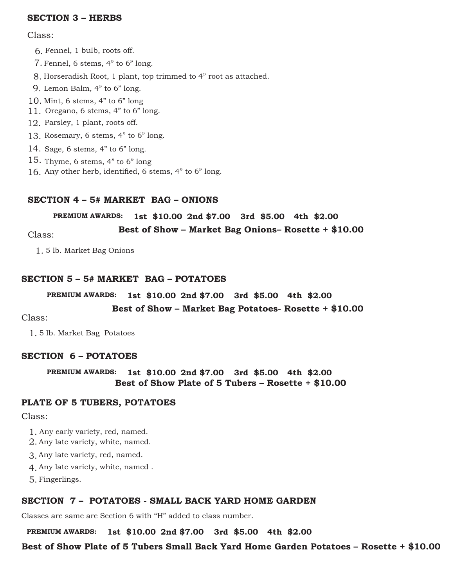# **SECTION 3 – HERBS**

#### Class:

- Fennel, 1 bulb, roots off. 6.
- Fennel, 6 stems, 4" to 6" long. 7.
- 8. Horseradish Root, 1 plant, top trimmed to 4" root as attached.
- Lemon Balm, 4" to 6" long. 9.
- Mint, 6 stems, 4" to 6" long 10.
- 11. Oregano, 6 stems,  $4"$  to  $6"$  long.
- 12. Parsley, 1 plant, roots off.
- 13. Rosemary, 6 stems, 4" to 6" long.
- 14. Sage, 6 stems, 4" to 6" long.
- 15. Thyme, 6 stems, 4" to 6" long
- Any other herb, identified, 6 stems, 4" to 6" long. 16.

# **SECTION 4 – 5# MARKET BAG – ONIONS**

**PREMIUM AWARDS: 1st \$10.00 2nd \$7.00 3rd \$5.00 4th \$2.00**

**Best of Show – Market Bag Onions– Rosette + \$10.00** Class:

5 lb. Market Bag Onions 1.

### **SECTION 5 – 5# MARKET BAG – POTATOES**

#### **PREMIUM AWARDS: 1st \$10.00 2nd \$7.00 3rd \$5.00 4th \$2.00**

#### **Best of Show – Market Bag Potatoes- Rosette + \$10.00**

#### Class:

5 lb. Market Bag Potatoes 1.

#### **SECTION 6 – POTATOES**

**PREMIUM AWARDS: 1st \$10.00 2nd \$7.00 3rd \$5.00 4th \$2.00 Best of Show Plate of 5 Tubers – Rosette + \$10.00**

### **PLATE OF 5 TUBERS, POTATOES**

Class:

- Any early variety, red, named. 1.
- 2. Any late variety, white, named.
- Any late variety, red, named. 3.
- Any late variety, white, named . 4.
- Fingerlings. 5.

#### **SECTION 7 – POTATOES - SMALL BACK YARD HOME GARDEN**

Classes are same are Section 6 with "H" added to class number.

**PREMIUM AWARDS: 1st \$10.00 2nd \$7.00 3rd \$5.00 4th \$2.00**

### **Best of Show Plate of 5 Tubers Small Back Yard Home Garden Potatoes – Rosette + \$10.00**